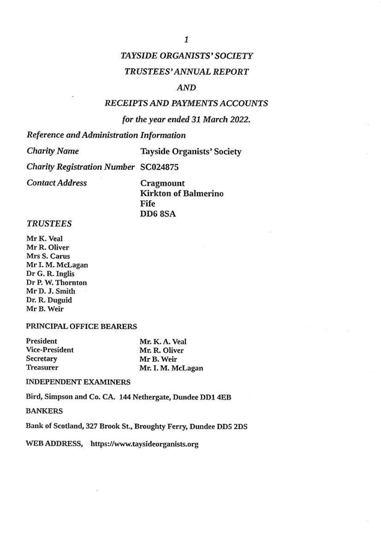## **TAYSIDE ORGANISTS' SOCIETY**

## **TRUSTEES' ANNUAL REPORT**

## AND

## RECEIPTS AND PAYMENTS ACCOUNTS

## for the year ended 31 March 2022.

Reference and Administration Information

**Charity Name** 

**Tayside Organists' Society** 

**Charity Registration Number SC024875** 

**Contact Address** 

Cragmount **Kirkton of Balmerino** Fife **DD6 8SA** 

### **TRUSTEES**

Mr K. Veal Mr R. Oliver Mrs S. Carus Mr I. M. McLagan Dr G. R. Inglis Dr P. W. Thornton Mr D. J. Smith Dr. R. Duguid Mr B. Weir

## PRINCIPAL OFFICE BEARERS

| President      | Mr. K. A. Veal    |
|----------------|-------------------|
| Vice-President | Mr. R. Oliver     |
| Secretary      | Mr B. Weir        |
| Treasurer      | Mr. I. M. McLagan |

### **INDEPENDENT EXAMINERS**

Bird, Simpson and Co. CA. 144 Nethergate, Dundee DD1 4EB

## **BANKERS**

Bank of Scotland, 327 Brook St., Broughty Ferry, Dundee DD5 2DS

WEB ADDRESS, https://www.taysideorganists.org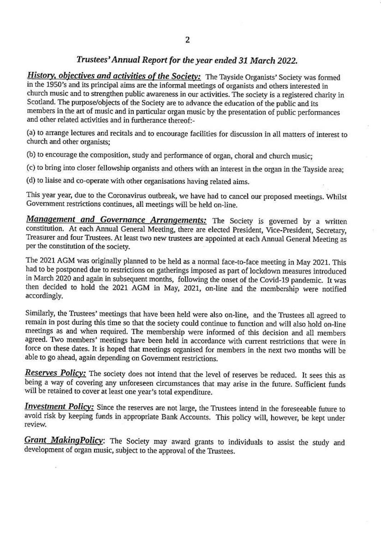## Trustees' Annual Report for the year ended 31 March 2022.

**History, objectives and activities of the Society:** The Tayside Organists' Society was formed in the 1950's and its principal aims are the informal meetings of organists and others interested in church music and to strengthen public awareness in our activities. The society is a registered charity in Scotland. The purpose/objects of the Society are to advance the education of the public and its members in the art of music and in particular organ music by the presentation of public performances and other related activities and in furtherance thereof:-

(a) to arrange lectures and recitals and to encourage facilities for discussion in all matters of interest to church and other organists;

(b) to encourage the composition, study and performance of organ, choral and church music;

(c) to bring into closer fellowship organists and others with an interest in the organ in the Tayside area;

(d) to liaise and co-operate with other organisations having related aims.

This year year, due to the Coronavirus outbreak, we have had to cancel our proposed meetings. Whilst Government restrictions continues, all meetings will be held on-line.

Management and Governance Arrangements: The Society is governed by a written constitution. At each Annual General Meeting, there are elected President, Vice-President, Secretary, Treasurer and four Trustees. At least two new trustees are appointed at each Annual General Meeting as per the constitution of the society.

The 2021 AGM was originally planned to be held as a normal face-to-face meeting in May 2021. This had to be postponed due to restrictions on gatherings imposed as part of lockdown measures introduced in March 2020 and again in subsequent months, following the onset of the Covid-19 pandemic. It was then decided to hold the 2021 AGM in May, 2021, on-line and the membership were notified accordingly.

Similarly, the Trustees' meetings that have been held were also on-line, and the Trustees all agreed to remain in post during this time so that the society could continue to function and will also hold on-line meetings as and when required. The membership were informed of this decision and all members agreed. Two members' meetings have been held in accordance with current restrictions that were in force on these dates. It is hoped that meetings organised for members in the next two months will be able to go ahead, again depending on Government restrictions.

Reserves Policy: The society does not intend that the level of reserves be reduced. It sees this as being a way of covering any unforeseen circumstances that may arise in the future. Sufficient funds will be retained to cover at least one year's total expenditure.

Investment Policy: Since the reserves are not large, the Trustees intend in the foreseeable future to avoid risk by keeping funds in appropriate Bank Accounts. This policy will, however, be kept under review.

Grant Making Policy: The Society may award grants to individuals to assist the study and development of organ music, subject to the approval of the Trustees.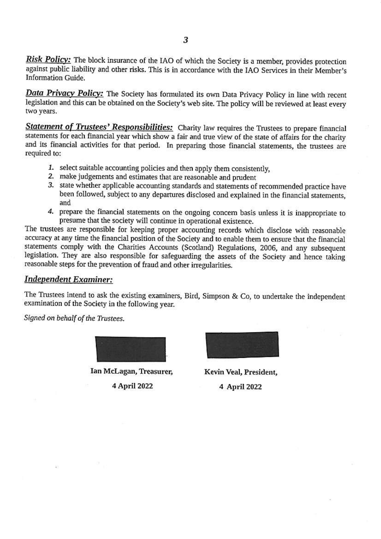Risk Policy: The block insurance of the IAO of which the Society is a member, provides protection against public liability and other risks. This is in accordance with the IAO Services in their Member's **Information Guide.** 

**Data Privacy Policy:** The Society has formulated its own Data Privacy Policy in line with recent legislation and this can be obtained on the Society's web site. The policy will be reviewed at least every two years.

Statement of Trustees' Responsibilities: Charity law requires the Trustees to prepare financial statements for each financial year which show a fair and true view of the state of affairs for the charity and its financial activities for that period. In preparing those financial statements, the trustees are required to:

- 1. select suitable accounting policies and then apply them consistently,
- 2. make judgements and estimates that are reasonable and prudent
- 3. state whether applicable accounting standards and statements of recommended practice have been followed, subject to any departures disclosed and explained in the financial statements, and
- 4. prepare the financial statements on the ongoing concern basis unless it is inappropriate to presume that the society will continue in operational existence.

The trustees are responsible for keeping proper accounting records which disclose with reasonable accuracy at any time the financial position of the Society and to enable them to ensure that the financial statements comply with the Charities Accounts (Scotland) Regulations, 2006, and any subsequent legislation. They are also responsible for safeguarding the assets of the Society and hence taking reasonable steps for the prevention of fraud and other irregularities.

## **Independent Examiner:**

The Trustees intend to ask the existing examiners, Bird, Simpson & Co, to undertake the independent examination of the Society in the following year.

Signed on behalf of the Trustees.

Ian McLagan, Treasurer, 4 April 2022



Kevin Veal, President, 4 April 2022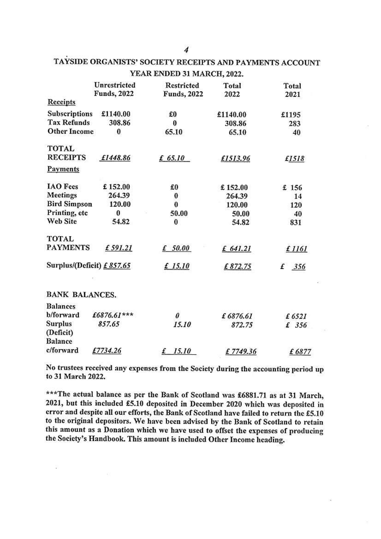|                           | Unrestricted        | <b>Restricted</b>   | Total    | Total    |
|---------------------------|---------------------|---------------------|----------|----------|
| <b>Receipts</b>           | <b>Funds</b> , 2022 | <b>Funds</b> , 2022 | 2022     | 2021     |
| Subscriptions             | £1140.00            | £O                  | £1140.00 | £1195    |
| <b>Tax Refunds</b>        | 308.86              | 0                   | 308.86   | 283      |
| <b>Other Income</b>       | 0                   | 65.10               | 65.10    | 40       |
| <b>TOTAL</b>              |                     |                     |          |          |
| <b>RECEIPTS</b>           | £1448.86            | £ 65.10             | £1513.96 | £1518    |
| Payments                  |                     |                     |          |          |
| <b>IAO</b> Fees           | £152.00             | £0                  | £152.00  | £ 156    |
| <b>Meetings</b>           | 264.39              | $\bf{0}$            | 264.39   | 14       |
| <b>Bird Simpson</b>       | 120.00              | $\bf{0}$            | 120.00   | 120      |
| Printing, etc             | 0                   | 50.00               | 50.00    | 40       |
| <b>Web Site</b>           | 54.82               | $\bf{0}$            | 54.82    | 831      |
| <b>TOTAL</b>              |                     |                     |          |          |
| <b>PAYMENTS</b>           | £591.21             | £ 50.00             | £ 641.21 | £ 1161   |
| Surplus/(Deficit) £857.65 |                     | £ 15.10             | £872.75  | 356<br>£ |
| <b>BANK BALANCES.</b>     |                     |                     |          |          |
| <b>Balances</b>           |                     |                     |          |          |
| b/forward                 | £6876.61***         | 0                   | £6876.61 | £6521    |
| <b>Surplus</b>            | 857.65              | 15.10               | 872.75   | £ 356    |
| (Deficit)                 |                     |                     |          |          |
| <b>Balance</b>            |                     |                     |          |          |
| c/forward                 | £7734.26            | £<br>15.10          | £7749.36 | £6877    |

# TAYSIDE ORGANISTS' SOCIETY RECEIPTS AND PAYMENTS ACCOUNT YEAR ENDED 31 MARCH, 2022.

No trustees received any expenses from the Society during the accounting period up to 31 March 2022.

£7749.36

£6877

\*\*\* The actual balance as per the Bank of Scotland was £6881.71 as at 31 March, 2021, but this included £5.10 deposited in December 2020 which was deposited in error and despite all our efforts, the Bank of Scotland have failed to return the £5.10 to the original depositors. We have been advised by the Bank of Scotland to retain this amount as a Donation which we have used to offset the expenses of producing the Society's Handbook. This amount is included Other Income heading.

¥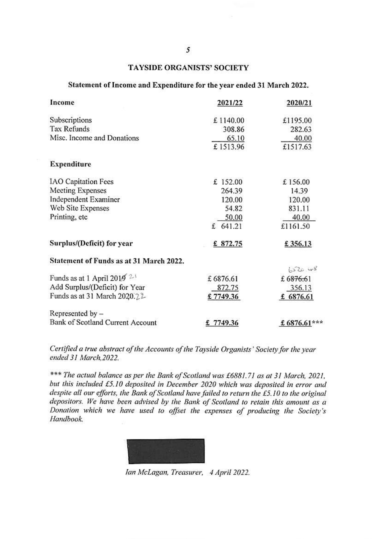## **TAYSIDE ORGANISTS' SOCIETY**

### Statement of Income and Expenditure for the year ended 31 March 2022.

| Income                                  | 2021/22    | 2020/21     |
|-----------------------------------------|------------|-------------|
| Subscriptions                           | £1140.00   | £1195.00    |
| <b>Tax Refunds</b>                      | 308.86     | 282.63      |
| Misc. Income and Donations              | 65.10      | 40.00       |
|                                         | £1513.96   | £1517.63    |
| <b>Expenditure</b>                      |            |             |
| <b>IAO</b> Capitation Fees              | £ 152.00   | £156.00     |
| Meeting Expenses                        | 264.39     | 14.39       |
| Independent Examiner                    | 120.00     | 120.00      |
| Web Site Expenses                       | 54.82      | 831.11      |
| Printing, etc                           | 50.00      | 40.00       |
|                                         | £ 641.21   | £1161.50    |
| Surplus/(Deficit) for year              | £ $872.75$ | £356.13     |
| Statement of Funds as at 31 March 2022. |            |             |
|                                         |            | 6520.48     |
| Funds as at 1 April 2019 $2\frac{1}{2}$ | £6876.61   | £6876.61    |
| Add Surplus/(Deficit) for Year          | 872.75     | 356.13      |
| Funds as at 31 March 2020.22            | £7749.36   | £ 6876.61   |
| Represented by -                        |            |             |
| Bank of Scotland Current Account        | £7749.36   | £6876.61*** |

Certified a true abstract of the Accounts of the Tayside Organists' Society for the year ended 31 March, 2022.

\*\*\* The actual balance as per the Bank of Scotland was £6881.71 as at 31 March, 2021, but this included £5.10 deposited in December 2020 which was deposited in error and despite all our efforts, the Bank of Scotland have failed to return the £5.10 to the original depositors. We have been advised by the Bank of Scotland to retain this amount as a Donation which we have used to offset the expenses of producing the Society's Handbook.

Ian McLagan, Treasurer, 4 April 2022.